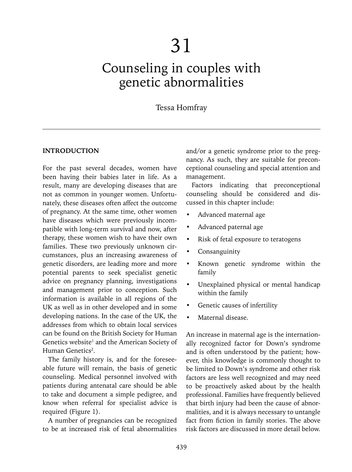# 31

## Counseling in couples with genetic abnormalities

## Tessa Homfray

## **INTRODUCTION**

For the past several decades, women have been having their babies later in life. As a result, many are developing diseases that are not as common in younger women. Unfortunately, these diseases often affect the outcome of pregnancy. At the same time, other women have diseases which were previously incompatible with long-term survival and now, after therapy, these women wish to have their own families. These two previously unknown circumstances, plus an increasing awareness of genetic disorders, are leading more and more potential parents to seek specialist genetic advice on pregnancy planning, investigations and management prior to conception. Such information is available in all regions of the UK as well as in other developed and in some developing nations. In the case of the UK, the addresses from which to obtain local services can be found on the British Society for Human Genetics website<sup>1</sup> and the American Society of Human Genetics<sup>2</sup>.

The family history is, and for the foreseeable future will remain, the basis of genetic counseling. Medical personnel involved with patients during antenatal care should be able to take and document a simple pedigree, and know when referral for specialist advice is required (Figure 1).

A number of pregnancies can be recognized to be at increased risk of fetal abnormalities

and/or a genetic syndrome prior to the pregnancy. As such, they are suitable for preconceptional counseling and special attention and management.

Factors indicating that preconceptional counseling should be considered and discussed in this chapter include:

- Advanced maternal age
- Advanced paternal age
- Risk of fetal exposure to teratogens
- **Consanguinity**
- Known genetic syndrome within the family
- Unexplained physical or mental handicap within the family
- Genetic causes of infertility
- Maternal disease.

An increase in maternal age is the internationally recognized factor for Down's syndrome and is often understood by the patient; however, this knowledge is commonly thought to be limited to Down's syndrome and other risk factors are less well recognized and may need to be proactively asked about by the health professional. Families have frequently believed that birth injury had been the cause of abnormalities, and it is always necessary to untangle fact from fiction in family stories. The above risk factors are discussed in more detail below.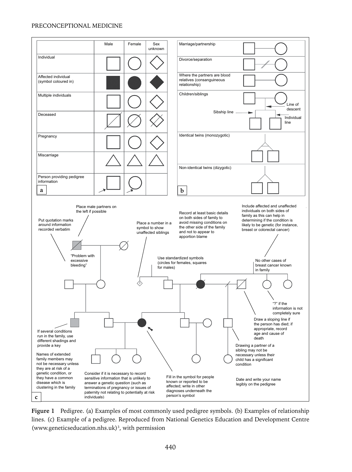

**Figure 1** Pedigree. (a) Examples of most commonly used pedigree symbols. (b) Examples of relationship lines. (c) Example of a pedigree. Reproduced from National Genetics Education and Development Centre (www.geneticseducation.nhs.uk)<sup>3</sup>, with permission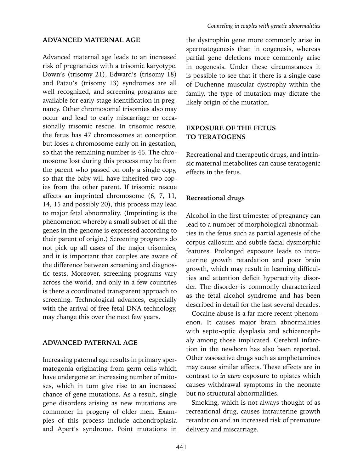## **ADVANCED MATERNAL AGE**

Advanced maternal age leads to an increased risk of pregnancies with a trisomic karyotype. Down's (trisomy 21), Edward's (trisomy 18) and Patau's (trisomy 13) syndromes are all well recognized, and screening programs are available for early-stage identification in pregnancy. Other chromosomal trisomies also may occur and lead to early miscarriage or occasionally trisomic rescue. In trisomic rescue, the fetus has 47 chromosomes at conception but loses a chromosome early on in gestation, so that the remaining number is 46. The chromosome lost during this process may be from the parent who passed on only a single copy, so that the baby will have inherited two copies from the other parent. If trisomic rescue affects an imprinted chromosome (6, 7, 11, 14, 15 and possibly 20), this process may lead to major fetal abnormality. (Imprinting is the phenomenon whereby a small subset of all the genes in the genome is expressed according to their parent of origin.) Screening programs do not pick up all cases of the major trisomies, and it is important that couples are aware of the difference between screening and diagnostic tests. Moreover, screening programs vary across the world, and only in a few countries is there a coordinated transparent approach to screening. Technological advances, especially with the arrival of free fetal DNA technology, may change this over the next few years.

#### **ADVANCED PATERNAL AGE**

Increasing paternal age results in primary spermatogonia originating from germ cells which have undergone an increasing number of mitoses, which in turn give rise to an increased chance of gene mutations. As a result, single gene disorders arising as new mutations are commoner in progeny of older men. Examples of this process include achondroplasia and Apert's syndrome. Point mutations in

the dystrophin gene more commonly arise in spermatogenesis than in oogenesis, whereas partial gene deletions more commonly arise in oogenesis. Under these circumstances it is possible to see that if there is a single case of Duchenne muscular dystrophy within the family, the type of mutation may dictate the likely origin of the mutation.

## **EXPOSURE OF THE FETUS TO TERATOGENS**

Recreational and therapeutic drugs, and intrinsic maternal metabolites can cause teratogenic effects in the fetus.

#### **Recreational drugs**

Alcohol in the first trimester of pregnancy can lead to a number of morphological abnormalities in the fetus such as partial agenesis of the corpus callosum and subtle facial dysmorphic features. Prolonged exposure leads to intrauterine growth retardation and poor brain growth, which may result in learning difficulties and attention deficit hyperactivity disorder. The disorder is commonly characterized as the fetal alcohol syndrome and has been described in detail for the last several decades.

Cocaine abuse is a far more recent phenomenon. It causes major brain abnormalities with septo-optic dysplasia and schizencephaly among those implicated. Cerebral infarction in the newborn has also been reported. Other vasoactive drugs such as amphetamines may cause similar effects. These effects are in contrast to *in utero* exposure to opiates which causes withdrawal symptoms in the neonate but no structural abnormalities.

Smoking, which is not always thought of as recreational drug, causes intrauterine growth retardation and an increased risk of premature delivery and miscarriage.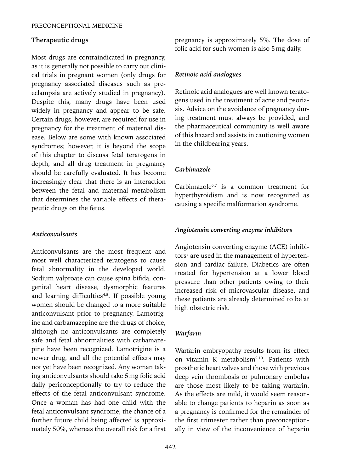#### **Therapeutic drugs**

Most drugs are contraindicated in pregnancy, as it is generally not possible to carry out clinical trials in pregnant women (only drugs for pregnancy associated diseases such as preeclampsia are actively studied in pregnancy). Despite this, many drugs have been used widely in pregnancy and appear to be safe. Certain drugs, however, are required for use in pregnancy for the treatment of maternal disease. Below are some with known associated syndromes; however, it is beyond the scope of this chapter to discuss fetal teratogens in depth, and all drug treatment in pregnancy should be carefully evaluated. It has become increasingly clear that there is an interaction between the fetal and maternal metabolism that determines the variable effects of therapeutic drugs on the fetus.

## *Anticonvulsants*

Anticonvulsants are the most frequent and most well characterized teratogens to cause fetal abnormality in the developed world. Sodium valproate can cause spina bifida, congenital heart disease, dysmorphic features and learning difficulties<sup>4,5</sup>. If possible young women should be changed to a more suitable anticonvulsant prior to pregnancy. Lamotrigine and carbamazepine are the drugs of choice, although no anticonvulsants are completely safe and fetal abnormalities with carbamazepine have been recognized. Lamotrigine is a newer drug, and all the potential effects may not yet have been recognized. Any woman taking anticonvulsants should take 5mg folic acid daily periconceptionally to try to reduce the effects of the fetal anticonvulsant syndrome. Once a woman has had one child with the fetal anticonvulsant syndrome, the chance of a further future child being affected is approximately 50%, whereas the overall risk for a first pregnancy is approximately 5%. The dose of folic acid for such women is also 5mg daily.

#### *Retinoic acid analogues*

Retinoic acid analogues are well known teratogens used in the treatment of acne and psoriasis. Advice on the avoidance of pregnancy during treatment must always be provided, and the pharmaceutical community is well aware of this hazard and assists in cautioning women in the childbearing years.

#### *Carbimazole*

Carbimazole<sup>6,7</sup> is a common treatment for hyperthyroidism and is now recognized as causing a specific malformation syndrome.

#### *Angiotensin converting enzyme inhibitors*

Angiotensin converting enzyme (ACE) inhibitors<sup>8</sup> are used in the management of hypertension and cardiac failure. Diabetics are often treated for hypertension at a lower blood pressure than other patients owing to their increased risk of microvascular disease, and these patients are already determined to be at high obstetric risk.

## *Warfarin*

Warfarin embryopathy results from its effect on vitamin K metabolism<sup>9,10</sup>. Patients with prosthetic heart valves and those with previous deep vein thrombosis or pulmonary embolus are those most likely to be taking warfarin. As the effects are mild, it would seem reasonable to change patients to heparin as soon as a pregnancy is confirmed for the remainder of the first trimester rather than preconceptionally in view of the inconvenience of heparin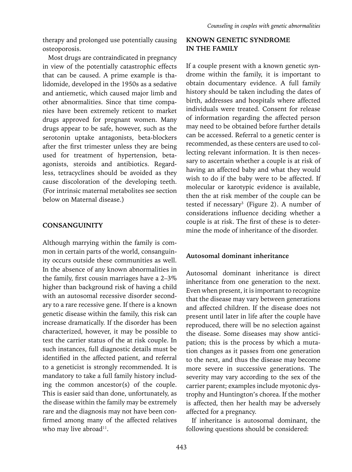therapy and prolonged use potentially causing osteoporosis.

Most drugs are contraindicated in pregnancy in view of the potentially catastrophic effects that can be caused. A prime example is thalidomide, developed in the 1950s as a sedative and antiemetic, which caused major limb and other abnormalities. Since that time companies have been extremely reticent to market drugs approved for pregnant women. Many drugs appear to be safe, however, such as the serotonin uptake antagonists, beta-blockers after the first trimester unless they are being used for treatment of hypertension, betaagonists, steroids and antibiotics. Regardless, tetracyclines should be avoided as they cause discoloration of the developing teeth. (For intrinsic maternal metabolites see section below on Maternal disease.)

## **CONSANGUINITY**

Although marrying within the family is common in certain parts of the world, consanguinity occurs outside these communities as well. In the absence of any known abnormalities in the family, first cousin marriages have a 2–3% higher than background risk of having a child with an autosomal recessive disorder secondary to a rare recessive gene. If there is a known genetic disease within the family, this risk can increase dramatically. If the disorder has been characterized, however, it may be possible to test the carrier status of the at risk couple. In such instances, full diagnostic details must be identified in the affected patient, and referral to a geneticist is strongly recommended. It is mandatory to take a full family history including the common ancestor(s) of the couple. This is easier said than done, unfortunately, as the disease within the family may be extremely rare and the diagnosis may not have been confirmed among many of the affected relatives who may live abroad<sup>11</sup>.

## **KNOWN GENETIC SYNDROME IN THE FAMILY**

If a couple present with a known genetic syndrome within the family, it is important to obtain documentary evidence. A full family history should be taken including the dates of birth, addresses and hospitals where affected individuals were treated. Consent for release of information regarding the affected person may need to be obtained before further details can be accessed. Referral to a genetic center is recommended, as these centers are used to collecting relevant information. It is then necessary to ascertain whether a couple is at risk of having an affected baby and what they would wish to do if the baby were to be affected. If molecular or karotypic evidence is available, then the at risk member of the couple can be tested if necessary<sup>3</sup> (Figure 2). A number of considerations influence deciding whether a couple is at risk. The first of these is to determine the mode of inheritance of the disorder.

## **Autosomal dominant inheritance**

Autosomal dominant inheritance is direct inheritance from one generation to the next. Even when present, it is important to recognize that the disease may vary between generations and affected children. If the disease does not present until later in life after the couple have reproduced, there will be no selection against the disease. Some diseases may show anticipation; this is the process by which a mutation changes as it passes from one generation to the next, and thus the disease may become more severe in successive generations. The severity may vary according to the sex of the carrier parent; examples include myotonic dystrophy and Huntington's chorea. If the mother is affected, then her health may be adversely affected for a pregnancy.

If inheritance is autosomal dominant, the following questions should be considered: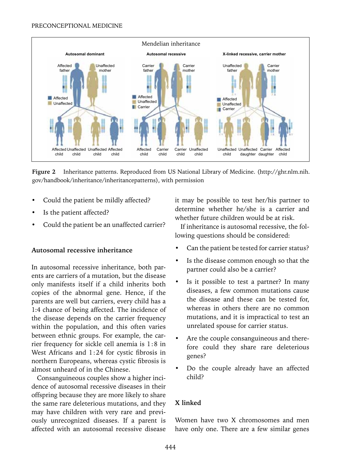

**Figure 2** Inheritance patterns. Reproduced from US National Library of Medicine. (http://ghr.nlm.nih. gov/handbook/inheritance/inheritancepatterns), with permission

- Could the patient be mildly affected?
- Is the patient affected?
- Could the patient be an unaffected carrier?

## **Autosomal recessive inheritance**

In autosomal recessive inheritance, both parents are carriers of a mutation, but the disease only manifests itself if a child inherits both copies of the abnormal gene. Hence, if the parents are well but carriers, every child has a 1:4 chance of being affected. The incidence of the disease depends on the carrier frequency within the population, and this often varies between ethnic groups. For example, the carrier frequency for sickle cell anemia is 1:8 in West Africans and 1:24 for cystic fibrosis in northern Europeans, whereas cystic fibrosis is almost unheard of in the Chinese.

Consanguineous couples show a higher incidence of autosomal recessive diseases in their offspring because they are more likely to share the same rare deleterious mutations, and they may have children with very rare and previously unrecognized diseases. If a parent is affected with an autosomal recessive disease

it may be possible to test her/his partner to determine whether he/she is a carrier and whether future children would be at risk.

If inheritance is autosomal recessive, the following questions should be considered:

- Can the patient be tested for carrier status?
- Is the disease common enough so that the partner could also be a carrier?
- Is it possible to test a partner? In many diseases, a few common mutations cause the disease and these can be tested for, whereas in others there are no common mutations, and it is impractical to test an unrelated spouse for carrier status.
- Are the couple consanguineous and therefore could they share rare deleterious genes?
- Do the couple already have an affected child?

## **X linked**

Women have two X chromosomes and men have only one. There are a few similar genes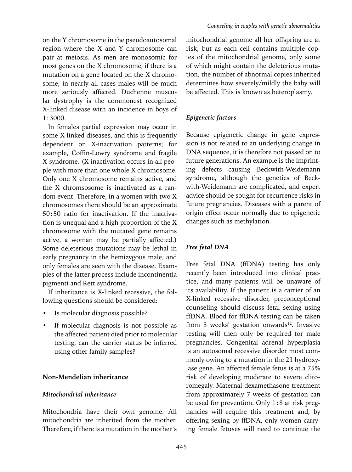on the Y chromosome in the pseudoautosomal region where the X and Y chromosome can pair at meiosis. As men are monosomic for most genes on the X chromosome, if there is a mutation on a gene located on the X chromosome, in nearly all cases males will be much more seriously affected. Duchenne muscular dystrophy is the commonest recognized X-linked disease with an incidence in boys of 1:3000.

In females partial expression may occur in some X-linked diseases, and this is frequently dependent on X-inactivation patterns; for example, Coffin-Lowry syndrome and fragile X syndrome. (X inactivation occurs in all people with more than one whole X chromosome. Only one X chromosome remains active, and the X chromsosome is inactivated as a random event. Therefore, in a women with two X chromosomes there should be an approximate 50:50 ratio for inactivation. If the inactivation is unequal and a high proportion of the X chromosome with the mutated gene remains active, a woman may be partially affected.) Some deleterious mutations may be lethal in early pregnancy in the hemizygous male, and only females are seen with the disease. Examples of the latter process include incontinentia pigmenti and Rett syndrome.

If inheritance is X-linked recessive, the following questions should be considered:

- Is molecular diagnosis possible?
- If molecular diagnosis is not possible as the affected patient died prior to molecular testing, can the carrier status be inferred using other family samples?

## **Non-Mendelian inheritance**

#### *Mitochondrial inheritance*

Mitochondria have their own genome. All mitochondria are inherited from the mother. Therefore, if there is a mutation in the mother's

mitochondrial genome all her offspring are at risk, but as each cell contains multiple copies of the mitochondrial genome, only some of which might contain the deleterious mutation, the number of abnormal copies inherited determines how severely/mildly the baby will be affected. This is known as heteroplasmy.

## *Epigenetic factors*

Because epigenetic change in gene expression is not related to an underlying change in DNA sequence, it is therefore not passed on to future generations. An example is the imprinting defects causing Beckwith-Weidemann syndrome, although the genetics of Beckwith-Weidemann are complicated, and expert advice should be sought for recurrence risks in future pregnancies. Diseases with a parent of origin effect occur normally due to epigenetic changes such as methylation.

## *Free fetal DNA*

Free fetal DNA (ffDNA) testing has only recently been introduced into clinical practice, and many patients will be unaware of its availability. If the patient is a carrier of an X-linked recessive disorder, preconceptional counseling should discuss fetal sexing using ffDNA. Blood for ffDNA testing can be taken from 8 weeks' gestation onwards<sup>12</sup>. Invasive testing will then only be required for male pregnancies. Congenital adrenal hyperplasia is an autosomal recessive disorder most commonly owing to a mutation in the 21 hydroxylase gene. An affected female fetus is at a 75% risk of developing moderate to severe clitoromegaly. Maternal dexamethasone treatment from approximately 7 weeks of gestation can be used for prevention. Only 1:8 at risk pregnancies will require this treatment and, by offering sexing by ffDNA, only women carrying female fetuses will need to continue the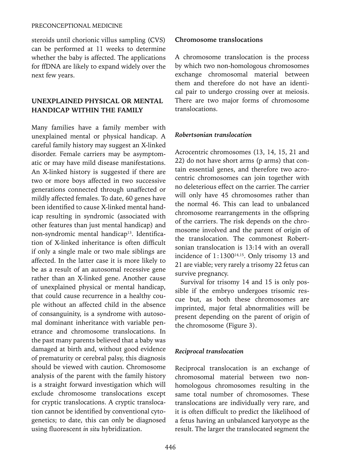steroids until chorionic villus sampling (CVS) can be performed at 11 weeks to determine whether the baby is affected. The applications for ffDNA are likely to expand widely over the next few years.

## **UNEXPLAINED PHYSICAL OR MENTAL HANDICAP WITHIN THE FAMILY**

Many families have a family member with unexplained mental or physical handicap. A careful family history may suggest an X-linked disorder. Female carriers may be asymptomatic or may have mild disease manifestations. An X-linked history is suggested if there are two or more boys affected in two successive generations connected through unaffected or mildly affected females. To date, 60 genes have been identified to cause X-linked mental handicap resulting in syndromic (associated with other features than just mental handicap) and non-syndromic mental handicap<sup>13</sup>. Identification of X-linked inheritance is often difficult if only a single male or two male siblings are affected. In the latter case it is more likely to be as a result of an autosomal recessive gene rather than an X-linked gene. Another cause of unexplained physical or mental handicap, that could cause recurrence in a healthy couple without an affected child in the absence of consanguinity, is a syndrome with autosomal dominant inheritance with variable penetrance and chromosome translocations. In the past many parents believed that a baby was damaged at birth and, without good evidence of prematurity or cerebral palsy, this diagnosis should be viewed with caution. Chromosome analysis of the parent with the family history is a straight forward investigation which will exclude chromosome translocations except for cryptic translocations. A cryptic translocation cannot be identified by conventional cytogenetics; to date, this can only be diagnosed using fluorescent *in situ* hybridization.

## **Chromosome translocations**

A chromosome translocation is the process by which two non-homologous chromosomes exchange chromosomal material between them and therefore do not have an identical pair to undergo crossing over at meiosis. There are two major forms of chromosome translocations.

## *Robertsonian translocation*

Acrocentric chromosomes (13, 14, 15, 21 and 22) do not have short arms (p arms) that contain essential genes, and therefore two acrocentric chromosomes can join together with no deleterious effect on the carrier. The carrier will only have 45 chromosomes rather than the normal 46. This can lead to unbalanced chromosome rearrangements in the offspring of the carriers. The risk depends on the chromosome involved and the parent of origin of the translocation. The commonest Robertsonian translocation is 13:14 with an overall incidence of  $1:1300^{14,15}$ . Only trisomy 13 and 21 are viable; very rarely a trisomy 22 fetus can survive pregnancy.

Survival for trisomy 14 and 15 is only possible if the embryo undergoes trisomic rescue but, as both these chromosomes are imprinted, major fetal abnormalities will be present depending on the parent of origin of the chromosome (Figure 3).

## *Reciprocal translocation*

Reciprocal translocation is an exchange of chromosomal material between two nonhomologous chromosomes resulting in the same total number of chromosomes. These translocations are individually very rare, and it is often difficult to predict the likelihood of a fetus having an unbalanced karyotype as the result. The larger the translocated segment the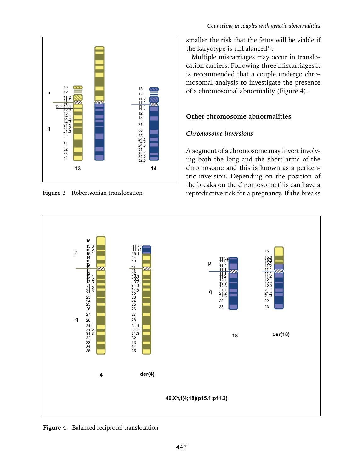

**Figure 3** Robertsonian translocation

smaller the risk that the fetus will be viable if the karyotype is unbalanced<sup>16</sup>.

Multiple miscarriages may occur in translocation carriers. Following three miscarriages it is recommended that a couple undergo chromosomal analysis to investigate the presence of a chromosomal abnormality (Figure 4).

## **Other chromosome abnormalities**

## *Chromosome inversions*

A segment of a chromosome may invert involving both the long and the short arms of the chromosome and this is known as a pericentric inversion. Depending on the position of the breaks on the chromosome this can have a reproductive risk for a pregnancy. If the breaks



**Figure 4** Balanced reciprocal translocation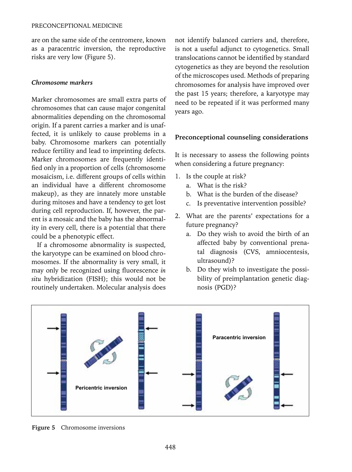are on the same side of the centromere, known as a paracentric inversion, the reproductive risks are very low (Figure 5).

#### *Chromosome markers*

Marker chromosomes are small extra parts of chromosomes that can cause major congenital abnormalities depending on the chromosomal origin. If a parent carries a marker and is unaffected, it is unlikely to cause problems in a baby. Chromosome markers can potentially reduce fertility and lead to imprinting defects. Marker chromosomes are frequently identified only in a proportion of cells (chromosome mosaicism, i.e. different groups of cells within an individual have a different chromosome makeup), as they are innately more unstable during mitoses and have a tendency to get lost during cell reproduction. If, however, the parent is a mosaic and the baby has the abnormality in every cell, there is a potential that there could be a phenotypic effect.

If a chromosome abnormality is suspected, the karyotype can be examined on blood chromosomes. If the abnormality is very small, it may only be recognized using fluorescence *in situ* hybridization (FISH); this would not be routinely undertaken. Molecular analysis does

not identify balanced carriers and, therefore, is not a useful adjunct to cytogenetics. Small translocations cannot be identified by standard cytogenetics as they are beyond the resolution of the microscopes used. Methods of preparing chromosomes for analysis have improved over the past 15 years; therefore, a karyotype may need to be repeated if it was performed many years ago.

#### **Preconceptional counseling considerations**

It is necessary to assess the following points when considering a future pregnancy:

- 1. Is the couple at risk?
	- a. What is the risk?
	- b. What is the burden of the disease?
	- c. Is preventative intervention possible?
- 2. What are the parents' expectations for a future pregnancy?
	- a. Do they wish to avoid the birth of an affected baby by conventional prenatal diagnosis (CVS, amniocentesis, ultrasound)?
	- b. Do they wish to investigate the possibility of preimplantation genetic diagnosis (PGD)?



**Figure 5** Chromosome inversions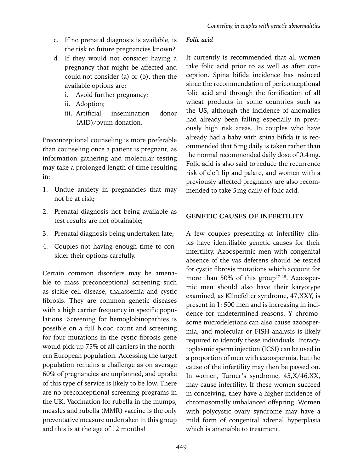- c. If no prenatal diagnosis is available, is the risk to future pregnancies known?
- d. If they would not consider having a pregnancy that might be affected and could not consider (a) or (b), then the available options are:
	- i. Avoid further pregnancy;
	- ii. Adoption;
	- iii. Artificial insemination donor (AID)/ovum donation.

Preconceptional counseling is more preferable than counseling once a patient is pregnant, as information gathering and molecular testing may take a prolonged length of time resulting in:

- 1. Undue anxiety in pregnancies that may not be at risk;
- 2. Prenatal diagnosis not being available as test results are not obtainable;
- 3. Prenatal diagnosis being undertaken late;
- 4. Couples not having enough time to consider their options carefully.

Certain common disorders may be amenable to mass preconceptional screening such as sickle cell disease, thalassemia and cystic fibrosis. They are common genetic diseases with a high carrier frequency in specific populations. Screening for hemoglobinopathies is possible on a full blood count and screening for four mutations in the cystic fibrosis gene would pick up 75% of all carriers in the northern European population. Accessing the target population remains a challenge as on average 60% of pregnancies are unplanned, and uptake of this type of service is likely to be low. There are no preconceptional screening programs in the UK. Vaccination for rubella in the mumps, measles and rubella (MMR) vaccine is the only preventative measure undertaken in this group and this is at the age of 12 months!

## *Folic acid*

It currently is recommended that all women take folic acid prior to as well as after conception. Spina bifida incidence has reduced since the recommendation of periconceptional folic acid and through the fortification of all wheat products in some countries such as the US, although the incidence of anomalies had already been falling especially in previously high risk areas. In couples who have already had a baby with spina bifida it is recommended that 5mg daily is taken rather than the normal recommended daily dose of 0.4mg. Folic acid is also said to reduce the recurrence risk of cleft lip and palate, and women with a previously affected pregnancy are also recommended to take 5mg daily of folic acid.

## **GENETIC CAUSES OF INFERTILITY**

A few couples presenting at infertility clinics have identifiable genetic causes for their infertility. Azoospermic men with congenital absence of the vas deferens should be tested for cystic fibrosis mutations which account for more than 50% of this group<sup>17-19</sup>. Azoospermic men should also have their karyotype examined, as Klinefelter syndrome, 47,XXY, is present in 1:500 men and is increasing in incidence for undetermined reasons. Y chromosome microdeletions can also cause azoospermia, and molecular or FISH analysis is likely required to identify these individuals. Intracytoplasmic sperm injection (ICSI) can be used in a proportion of men with azoospermia, but the cause of the infertility may then be passed on. In women, Turner's syndrome, 45,X/46,XX, may cause infertility. If these women succeed in conceiving, they have a higher incidence of chromosomally imbalanced offspring. Women with polycystic ovary syndrome may have a mild form of congenital adrenal hyperplasia which is amenable to treatment.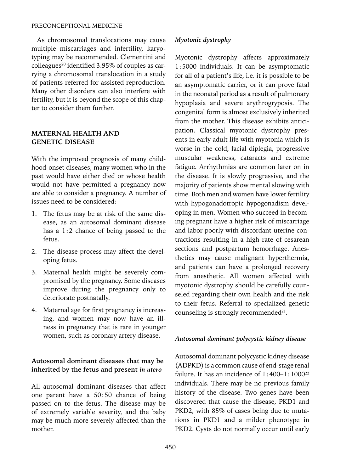As chromosomal translocations may cause multiple miscarriages and infertility, karyotyping may be recommended. Clementini and  $\text{colleagues}^{20}$  identified 3.95% of couples as carrying a chromosomal translocation in a study of patients referred for assisted reproduction. Many other disorders can also interfere with fertility, but it is beyond the scope of this chapter to consider them further.

## **MATERNAL HEALTH AND GENETIC DISEASE**

With the improved prognosis of many childhood-onset diseases, many women who in the past would have either died or whose health would not have permitted a pregnancy now are able to consider a pregnancy. A number of issues need to be considered:

- 1. The fetus may be at risk of the same disease, as an autosomal dominant disease has a 1:2 chance of being passed to the fetus.
- 2. The disease process may affect the developing fetus.
- 3. Maternal health might be severely compromised by the pregnancy. Some diseases improve during the pregnancy only to deteriorate postnatally.
- 4. Maternal age for first pregnancy is increasing, and women may now have an illness in pregnancy that is rare in younger women, such as coronary artery disease.

## **Autosomal dominant diseases that may be inherited by the fetus and present** *in utero*

All autosomal dominant diseases that affect one parent have a 50:50 chance of being passed on to the fetus. The disease may be of extremely variable severity, and the baby may be much more severely affected than the mother.

## *Myotonic dystrophy*

Myotonic dystrophy affects approximately 1:5000 individuals. It can be asymptomatic for all of a patient's life, i.e. it is possible to be an asymptomatic carrier, or it can prove fatal in the neonatal period as a result of pulmonary hypoplasia and severe arythrogryposis. The congenital form is almost exclusively inherited from the mother. This disease exhibits anticipation. Classical myotonic dystrophy presents in early adult life with myotonia which is worse in the cold, facial diplegia, progressive muscular weakness, cataracts and extreme fatigue. Arrhythmias are common later on in the disease. It is slowly progressive, and the majority of patients show mental slowing with time. Both men and women have lower fertility with hypogonadotropic hypogonadism developing in men. Women who succeed in becoming pregnant have a higher risk of miscarriage and labor poorly with discordant uterine contractions resulting in a high rate of cesarean sections and postpartum hemorrhage. Anesthetics may cause malignant hyperthermia, and patients can have a prolonged recovery from anesthetic. All women affected with myotonic dystrophy should be carefully counseled regarding their own health and the risk to their fetus. Referral to specialized genetic counseling is strongly recommended $21$ .

## *Autosomal dominant polycystic kidney disease*

Autosomal dominant polycystic kidney disease (ADPKD) is a common cause of end-stage renal failure. It has an incidence of  $1:400-1:1000^{22}$ individuals. There may be no previous family history of the disease. Two genes have been discovered that cause the disease, PKD1 and PKD2, with 85% of cases being due to mutations in PKD1 and a milder phenotype in PKD2. Cysts do not normally occur until early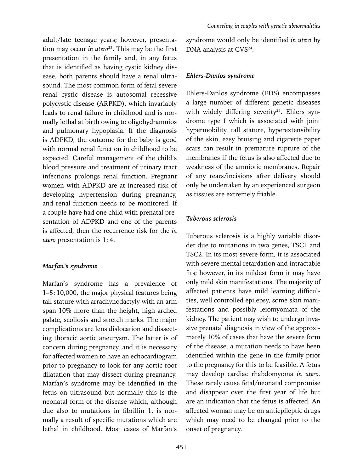adult/late teenage years; however, presentation may occur *in utero*<sup>23</sup>. This may be the first presentation in the family and, in any fetus that is identified as having cystic kidney disease, both parents should have a renal ultrasound. The most common form of fetal severe renal cystic disease is autosomal recessive polycystic disease (ARPKD), which invariably leads to renal failure in childhood and is normally lethal at birth owing to oligohydramnios and pulmonary hypoplasia. If the diagnosis is ADPKD, the outcome for the baby is good with normal renal function in childhood to be expected. Careful management of the child's blood pressure and treatment of urinary tract infections prolongs renal function. Pregnant women with ADPKD are at increased risk of developing hypertension during pregnancy, and renal function needs to be monitored. If a couple have had one child with prenatal presentation of ADPKD and one of the parents is affected, then the recurrence risk for the *in utero* presentation is 1:4.

#### *Marfan's syndrome*

Marfan's syndrome has a prevalence of 1–5:10,000, the major physical features being tall stature with arrachynodactyly with an arm span 10% more than the height, high arched palate, scoliosis and stretch marks. The major complications are lens dislocation and dissecting thoracic aortic aneurysm. The latter is of concern during pregnancy, and it is necessary for affected women to have an echocardiogram prior to pregnancy to look for any aortic root dilatation that may dissect during pregnancy. Marfan's syndrome may be identified in the fetus on ultrasound but normally this is the neonatal form of the disease which, although due also to mutations in fibrillin 1, is normally a result of specific mutations which are lethal in childhood. Most cases of Marfan's

syndrome would only be identified *in utero* by DNA analysis at CVS<sup>24</sup>.

## *Ehlers-Danlos syndrome*

Ehlers-Danlos syndrome (EDS) encompasses a large number of different genetic diseases with widely differing severity<sup>25</sup>. Ehlers syndrome type I which is associated with joint hypermobility, tall stature, hyperextensibility of the skin, easy bruising and cigarette paper scars can result in premature rupture of the membranes if the fetus is also affected due to weakness of the amniotic membranes. Repair of any tears/incisions after delivery should only be undertaken by an experienced surgeon as tissues are extremely friable.

## *Tuberous sclerosis*

Tuberous sclerosis is a highly variable disorder due to mutations in two genes, TSC1 and TSC2. In its most severe form, it is associated with severe mental retardation and intractable fits; however, in its mildest form it may have only mild skin manifestations. The majority of affected patients have mild learning difficulties, well controlled epilepsy, some skin manifestations and possibly leiomyomata of the kidney. The patient may wish to undergo invasive prenatal diagnosis in view of the approximately 10% of cases that have the severe form of the disease, a mutation needs to have been identified within the gene in the family prior to the pregnancy for this to be feasible. A fetus may develop cardiac rhabdomyoma *in utero.* These rarely cause fetal/neonatal compromise and disappear over the first year of life but are an indication that the fetus is affected. An affected woman may be on antiepileptic drugs which may need to be changed prior to the onset of pregnancy.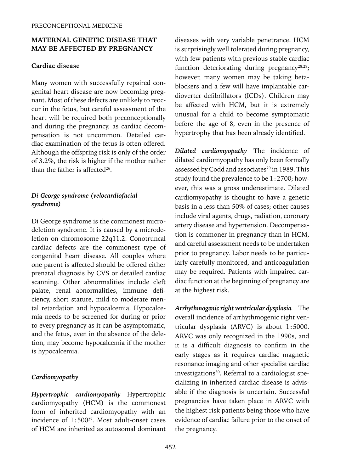## **MATERNAL GENETIC DISEASE THAT MAY BE AFFECTED BY PREGNANCY**

## **Cardiac disease**

Many women with successfully repaired congenital heart disease are now becoming pregnant. Most of these defects are unlikely to reoccur in the fetus, but careful assessment of the heart will be required both preconceptionally and during the pregnancy, as cardiac decompensation is not uncommon. Detailed cardiac examination of the fetus is often offered. Although the offspring risk is only of the order of 3.2%, the risk is higher if the mother rather than the father is affected $26$ .

## *Di George syndrome (velocardiofacial syndrome)*

Di George syndrome is the commonest microdeletion syndrome. It is caused by a microdeletion on chromosome 22q11.2. Conotruncal cardiac defects are the commonest type of congenital heart disease. All couples where one parent is affected should be offered either prenatal diagnosis by CVS or detailed cardiac scanning. Other abnormalities include cleft palate, renal abnormalities, immune deficiency, short stature, mild to moderate mental retardation and hypocalcemia. Hypocalcemia needs to be screened for during or prior to every pregnancy as it can be asymptomatic, and the fetus, even in the absence of the deletion, may become hypocalcemia if the mother is hypocalcemia.

## *Cardiomyopathy*

*Hypertrophic cardiomyopathy* Hypertrophic cardiomyopathy (HCM) is the commonest form of inherited cardiomyopathy with an incidence of  $1:500^{27}$ . Most adult-onset cases of HCM are inherited as autosomal dominant diseases with very variable penetrance. HCM is surprisingly well tolerated during pregnancy, with few patients with previous stable cardiac function deteriorating during pregnancy<sup>28,29</sup>; however, many women may be taking betablockers and a few will have implantable cardioverter defibrillators (ICDs). Children may be affected with HCM, but it is extremely unusual for a child to become symptomatic before the age of 8, even in the presence of hypertrophy that has been already identified.

*Dilated cardiomyopathy* The incidence of dilated cardiomyopathy has only been formally assessed by Codd and associates<sup>29</sup> in 1989. This study found the prevalence to be 1:2700; however, this was a gross underestimate. Dilated cardiomyopathy is thought to have a genetic basis in a less than 50% of cases; other causes include viral agents, drugs, radiation, coronary artery disease and hypertension. Decompensation is commoner in pregnancy than in HCM, and careful assessment needs to be undertaken prior to pregnancy. Labor needs to be particularly carefully monitored, and anticoagulation may be required. Patients with impaired cardiac function at the beginning of pregnancy are at the highest risk.

*Arrhythmogenic right ventricular dysplasia* The overall incidence of arrhythmogenic right ventricular dysplasia (ARVC) is about 1:5000. ARVC was only recognized in the 1990s, and it is a difficult diagnosis to confirm in the early stages as it requires cardiac magnetic resonance imaging and other specialist cardiac investigations<sup>30</sup>. Referral to a cardiologist specializing in inherited cardiac disease is advisable if the diagnosis is uncertain. Successful pregnancies have taken place in ARVC with the highest risk patients being those who have evidence of cardiac failure prior to the onset of the pregnancy.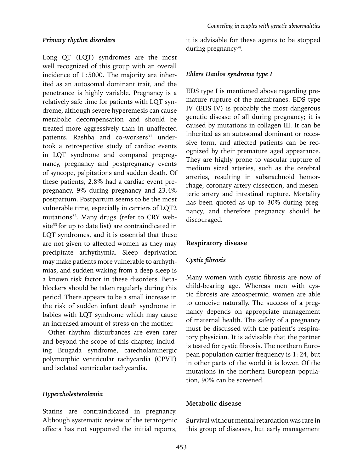## *Primary rhythm disorders*

Long QT (LQT) syndromes are the most well recognized of this group with an overall incidence of 1:5000. The majority are inherited as an autosomal dominant trait, and the penetrance is highly variable. Pregnancy is a relatively safe time for patients with LQT syndrome, although severe hyperemesis can cause metabolic decompensation and should be treated more aggressively than in unaffected patients. Rashba and co-workers $31$  undertook a retrospective study of cardiac events in LQT syndrome and compared prepregnancy, pregnancy and postpregnancy events of syncope, palpitations and sudden death. Of these patients, 2.8% had a cardiac event prepregnancy, 9% during pregnancy and 23.4% postpartum. Postpartum seems to be the most vulnerable time, especially in carriers of LQT2 mutations<sup>32</sup>. Many drugs (refer to CRY website<sup>33</sup> for up to date list) are contraindicated in LQT syndromes, and it is essential that these are not given to affected women as they may precipitate arrhythymia. Sleep deprivation may make patients more vulnerable to arrhythmias, and sudden waking from a deep sleep is a known risk factor in these disorders. Betablockers should be taken regularly during this period. There appears to be a small increase in the risk of sudden infant death syndrome in babies with LQT syndrome which may cause an increased amount of stress on the mother.

Other rhythm disturbances are even rarer and beyond the scope of this chapter, including Brugada syndrome, catecholaminergic polymorphic ventricular tachycardia (CPVT) and isolated ventricular tachycardia.

## *Hypercholesterolemia*

Statins are contraindicated in pregnancy. Although systematic review of the teratogenic effects has not supported the initial reports, it is advisable for these agents to be stopped during pregnancy<sup>34</sup>.

#### *Ehlers Danlos syndrome type I*

EDS type I is mentioned above regarding premature rupture of the membranes. EDS type IV (EDS IV) is probably the most dangerous genetic disease of all during pregnancy; it is caused by mutations in collagen III. It can be inherited as an autosomal dominant or recessive form, and affected patients can be recognized by their premature aged appearance. They are highly prone to vascular rupture of medium sized arteries, such as the cerebral arteries, resulting in subarachnoid hemorrhage, coronary artery dissection, and mesenteric artery and intestinal rupture. Mortality has been quoted as up to 30% during pregnancy, and therefore pregnancy should be discouraged.

#### **Respiratory disease**

## *Cystic fibrosis*

Many women with cystic fibrosis are now of child-bearing age. Whereas men with cystic fibrosis are azoospermic, women are able to conceive naturally. The success of a pregnancy depends on appropriate management of maternal health. The safety of a pregnancy must be discussed with the patient's respiratory physician. It is advisable that the partner is tested for cystic fibrosis. The northern European population carrier frequency is 1:24, but in other parts of the world it is lower. Of the mutations in the northern European population, 90% can be screened.

## **Metabolic disease**

Survival without mental retardation was rare in this group of diseases, but early management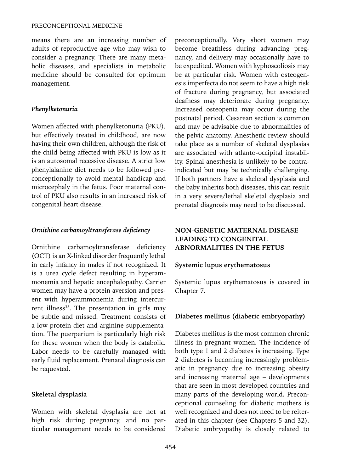means there are an increasing number of adults of reproductive age who may wish to consider a pregnancy. There are many metabolic diseases, and specialists in metabolic medicine should be consulted for optimum management.

## *Phenylketonuria*

Women affected with phenylketonuria (PKU), but effectively treated in childhood, are now having their own children, although the risk of the child being affected with PKU is low as it is an autosomal recessive disease. A strict low phenylalanine diet needs to be followed preconceptionally to avoid mental handicap and microcephaly in the fetus. Poor maternal control of PKU also results in an increased risk of congenital heart disease.

#### *Ornithine carbamoyltransferase deficiency*

Ornithine carbamoyltransferase deficiency (OCT) is an X-linked disorder frequently lethal in early infancy in males if not recognized. It is a urea cycle defect resulting in hyperammonemia and hepatic encephalopathy. Carrier women may have a protein aversion and present with hyperammonemia during intercurrent illness<sup>35</sup>. The presentation in girls may be subtle and missed. Treatment consists of a low protein diet and arginine supplementation. The puerperium is particularly high risk for these women when the body is catabolic. Labor needs to be carefully managed with early fluid replacement. Prenatal diagnosis can be requested.

## **Skeletal dysplasia**

Women with skeletal dysplasia are not at high risk during pregnancy, and no particular management needs to be considered preconceptionally. Very short women may become breathless during advancing pregnancy, and delivery may occasionally have to be expedited. Women with kyphoscoliosis may be at particular risk. Women with osteogenesis imperfecta do not seem to have a high risk of fracture during pregnancy, but associated deafness may deteriorate during pregnancy. Increased osteopenia may occur during the postnatal period. Cesarean section is common and may be advisable due to abnormalities of the pelvic anatomy. Anesthetic review should take place as a number of skeletal dysplasias are associated with atlanto-occipital instability. Spinal anesthesia is unlikely to be contraindicated but may be technically challenging. If both partners have a skeletal dysplasia and the baby inherits both diseases, this can result in a very severe/lethal skeletal dysplasia and prenatal diagnosis may need to be discussed.

## **NON-GENETIC MATERNAL DISEASE LEADING TO CONGENITAL ABNORMALITIES IN THE FETUS**

## **Systemic lupus erythematosus**

Systemic lupus erythematosus is covered in Chapter 7.

## **Diabetes mellitus (diabetic embryopathy)**

Diabetes mellitus is the most common chronic illness in pregnant women. The incidence of both type 1 and 2 diabetes is increasing. Type 2 diabetes is becoming increasingly problematic in pregnancy due to increasing obesity and increasing maternal age – developments that are seen in most developed countries and many parts of the developing world. Preconceptional counseling for diabetic mothers is well recognized and does not need to be reiterated in this chapter (see Chapters 5 and 32). Diabetic embryopathy is closely related to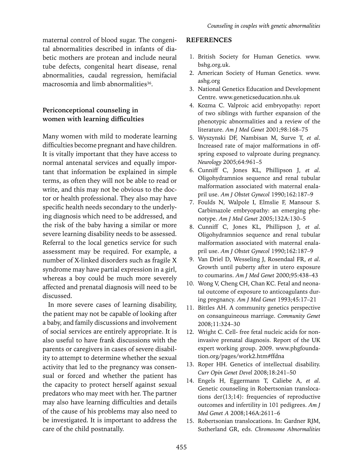maternal control of blood sugar. The congenital abnormalities described in infants of diabetic mothers are protean and include neural tube defects, congenital heart disease, renal abnormalities, caudal regression, hemifacial macrosomia and limb abnormalities<sup>36</sup>.

## **Periconceptional counseling in women with learning difficulties**

Many women with mild to moderate learning difficulties become pregnant and have children. It is vitally important that they have access to normal antenatal services and equally important that information be explained in simple terms, as often they will not be able to read or write, and this may not be obvious to the doctor or health professional. They also may have specific health needs secondary to the underlying diagnosis which need to be addressed, and the risk of the baby having a similar or more severe learning disability needs to be assessed. Referral to the local genetics service for such assessment may be required. For example, a number of X-linked disorders such as fragile X syndrome may have partial expression in a girl, whereas a boy could be much more severely affected and prenatal diagnosis will need to be discussed.

In more severe cases of learning disability, the patient may not be capable of looking after a baby, and family discussions and involvement of social services are entirely appropriate. It is also useful to have frank discussions with the parents or caregivers in cases of severe disability to attempt to determine whether the sexual activity that led to the pregnancy was consensual or forced and whether the patient has the capacity to protect herself against sexual predators who may meet with her. The partner may also have learning difficulties and details of the cause of his problems may also need to be investigated. It is important to address the care of the child postnatally.

## **References**

- 1. British Society for Human Genetics. www. bshg.org.uk.
- 2. American Society of Human Genetics. www. ashg.org
- 3. National Genetics Education and Development Centre. www.geneticseducation.nhs.uk
- 4. Kozma C. Valproic acid embryopathy: report of two siblings with further expansion of the phenotypic abnormalities and a review of the literature. *Am J Med Genet* 2001;98:168–75
- 5. Wyszynski DF, Nambisan M, Surve T, *et al*. Increased rate of major malformations in offspring exposed to valproate during pregnancy. *Neurology* 2005;64:961–5
- 6. Cunniff C, Jones KL, Phillipson J, *et al*. Oligohydramnios sequence and renal tubular malformation associated with maternal enalapril use. *Am J Obstet Gynecol* 1990;162:187–9
- 7. Foulds N, Walpole I, Elmslie F, Mansour S. Carbimazole embryopathy: an emerging phenotype. *Am J Med Genet* 2005;132A:130–5
- 8. Cunniff C, Jones KL, Phillipson J, *et al*. Oligohydramnios sequence and renal tubular malformation associated with maternal enalapril use. *Am J Obstet Gynecol* 1990;162:187–9
- 9. Van Driel D, Wesseling J, Rosendaal FR, *et al*. Growth until puberty after in utero exposure to coumarins. *Am J Med Genet* 2000;95:438–43
- 10. Wong V, Cheng CH, Chan KC. Fetal and neonatal outcome of exposure to anticoagulants during pregnancy. *Am J Med Genet* 1993;45:17–21
- 11. Bittles AH. A community genetics perspective on consanguineous marriage. *Community Genet* 2008;11:324–30
- 12. Wright C. Cell- free fetal nucleic acids for noninvasive prenatal diagnosis. Report of the UK expert working group. 2009. www.phgfoundation.org/pages/work2.htm#ffdna
- 13. Roper HH. Genetics of intellectual disability. *Curr Opin Genet Devel* 2008;18:241–50
- 14. Engels H, Eggermann T, Caliebe A, *et al*. Genetic counseling in Robertsonian translocations der(13;14): frequencies of reproductive outcomes and infertility in 101 pedigrees. *Am J Med Genet A* 2008;146A:2611–6
- 15. Robertsonian translocations. In: Gardner RJM, Sutherland GR, eds. *Chromosome Abnormalities*